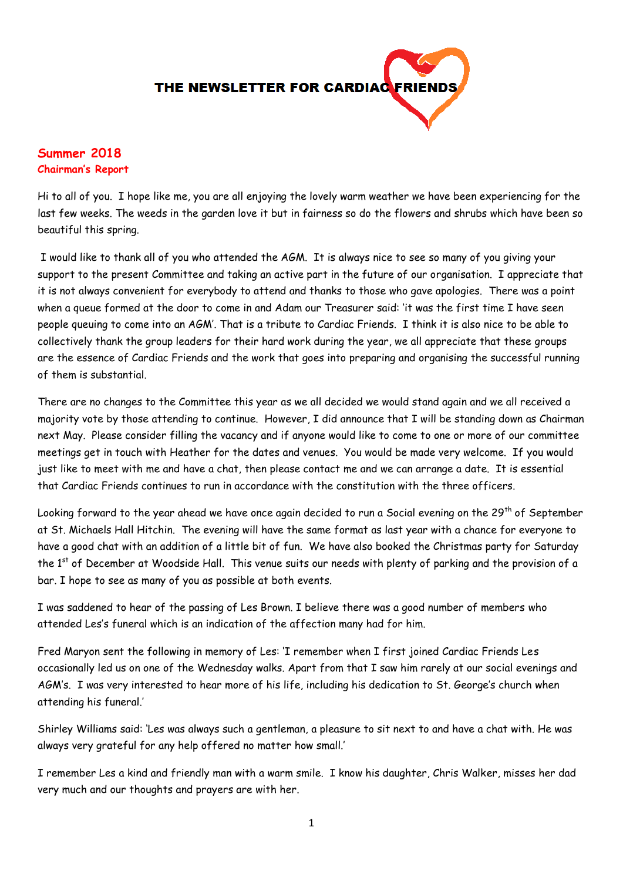

# **Summer 2018 Chairman's Report**

Hi to all of you. I hope like me, you are all enjoying the lovely warm weather we have been experiencing for the last few weeks. The weeds in the garden love it but in fairness so do the flowers and shrubs which have been so beautiful this spring.

I would like to thank all of you who attended the AGM. It is always nice to see so many of you giving your support to the present Committee and taking an active part in the future of our organisation. I appreciate that it is not always convenient for everybody to attend and thanks to those who gave apologies. There was a point when a queue formed at the door to come in and Adam our Treasurer said: 'it was the first time I have seen people queuing to come into an AGM'. That is a tribute to Cardiac Friends. I think it is also nice to be able to collectively thank the group leaders for their hard work during the year, we all appreciate that these groups are the essence of Cardiac Friends and the work that goes into preparing and organising the successful running of them is substantial.

There are no changes to the Committee this year as we all decided we would stand again and we all received a majority vote by those attending to continue. However, I did announce that I will be standing down as Chairman next May. Please consider filling the vacancy and if anyone would like to come to one or more of our committee meetings get in touch with Heather for the dates and venues. You would be made very welcome. If you would just like to meet with me and have a chat, then please contact me and we can arrange a date. It is essential that Cardiac Friends continues to run in accordance with the constitution with the three officers.

Looking forward to the year ahead we have once again decided to run a Social evening on the 29<sup>th</sup> of September at St. Michaels Hall Hitchin. The evening will have the same format as last year with a chance for everyone to have a good chat with an addition of a little bit of fun. We have also booked the Christmas party for Saturday the 1<sup>st</sup> of December at Woodside Hall. This venue suits our needs with plenty of parking and the provision of a bar. I hope to see as many of you as possible at both events.

I was saddened to hear of the passing of Les Brown. I believe there was a good number of members who attended Les's funeral which is an indication of the affection many had for him.

Fred Maryon sent the following in memory of Les: 'I remember when I first joined Cardiac Friends Les occasionally led us on one of the Wednesday walks. Apart from that I saw him rarely at our social evenings and AGM's. I was very interested to hear more of his life, including his dedication to St. George's church when attending his funeral.'

Shirley Williams said: 'Les was always such a gentleman, a pleasure to sit next to and have a chat with. He was always very grateful for any help offered no matter how small.'

I remember Les a kind and friendly man with a warm smile. I know his daughter, Chris Walker, misses her dad very much and our thoughts and prayers are with her.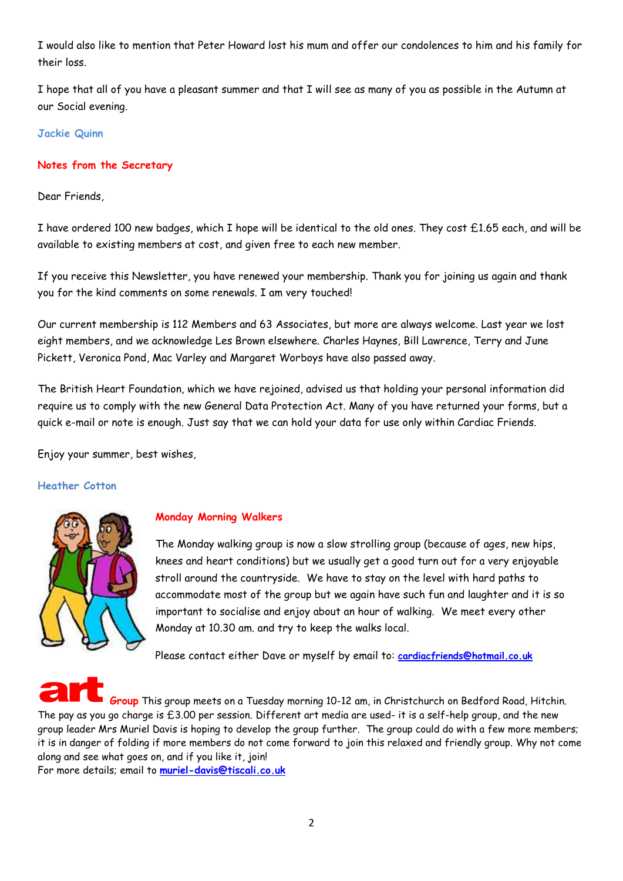I would also like to mention that Peter Howard lost his mum and offer our condolences to him and his family for their loss.

I hope that all of you have a pleasant summer and that I will see as many of you as possible in the Autumn at our Social evening.

# **Jackie Quinn**

# **Notes from the Secretary**

Dear Friends,

I have ordered 100 new badges, which I hope will be identical to the old ones. They cost £1.65 each, and will be available to existing members at cost, and given free to each new member.

If you receive this Newsletter, you have renewed your membership. Thank you for joining us again and thank you for the kind comments on some renewals. I am very touched!

Our current membership is 112 Members and 63 Associates, but more are always welcome. Last year we lost eight members, and we acknowledge Les Brown elsewhere. Charles Haynes, Bill Lawrence, Terry and June Pickett, Veronica Pond, Mac Varley and Margaret Worboys have also passed away.

The British Heart Foundation, which we have rejoined, advised us that holding your personal information did require us to comply with the new General Data Protection Act. Many of you have returned your forms, but a quick e-mail or note is enough. Just say that we can hold your data for use only within Cardiac Friends.

Enjoy your summer, best wishes,

# **Heather Cotton**



# **Monday Morning Walkers**

The Monday walking group is now a slow strolling group (because of ages, new hips, knees and heart conditions) but we usually get a good turn out for a very enjoyable stroll around the countryside. We have to stay on the level with hard paths to accommodate most of the group but we again have such fun and laughter and it is so important to socialise and enjoy about an hour of walking. We meet every other Monday at 10.30 am. and try to keep the walks local.

Please contact either Dave or myself by email to: **[cardiacfriends@hotmail.co.uk](mailto:cardiacfriends@hotmail.co.uk)**

**Group** This group meets on a Tuesday morning 10-12 am, in Christchurch on Bedford Road, Hitchin. The pay as you go charge is £3.00 per session. Different art media are used- it is a self-help group, and the new group leader Mrs Muriel Davis is hoping to develop the group further. The group could do with a few more members; it is in danger of folding if more members do not come forward to join this relaxed and friendly group. Why not come along and see what goes on, and if you like it, join!

For more details; email to **[muriel-davis@tiscali.co.uk](mailto:muriel-davis@tiscali.co.uk)**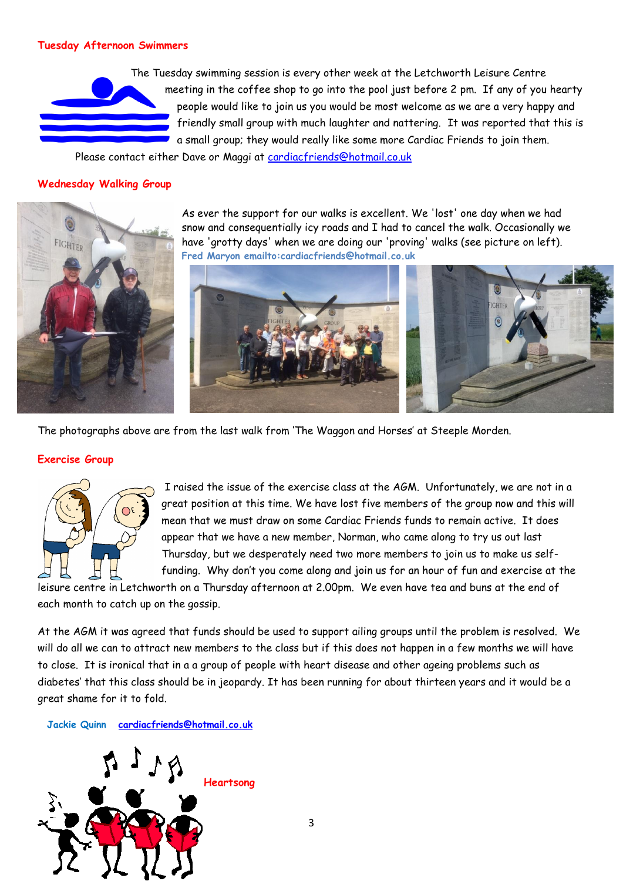# **Tuesday Afternoon Swimmers**

The Tuesday swimming session is every other week at the Letchworth Leisure Centre meeting in the coffee shop to go into the pool just before 2 pm. If any of you hearty people would like to join us you would be most welcome as we are a very happy and friendly small group with much laughter and nattering. It was reported that this is a small group; they would really like some more Cardiac Friends to join them.

Please contact either Dave or Maggi at [cardiacfriends@hotmail.co.uk](mailto:cardiacfriends@hotmail.co.uk)

#### **Wednesday Walking Group**



As ever the support for our walks is excellent. We 'lost' one day when we had snow and consequentially icy roads and I had to cancel the walk. Occasionally we have 'grotty days' when we are doing our 'proving' walks (see picture on left). **Fred Maryon emailto:cardiacfriends@hotmail.co.uk** 



The photographs above are from the last walk from 'The Waggon and Horses' at Steeple Morden.

#### **Exercise Group**



I raised the issue of the exercise class at the AGM. Unfortunately, we are not in a great position at this time. We have lost five members of the group now and this will mean that we must draw on some Cardiac Friends funds to remain active. It does appear that we have a new member, Norman, who came along to try us out last Thursday, but we desperately need two more members to join us to make us selffunding. Why don't you come along and join us for an hour of fun and exercise at the

leisure centre in Letchworth on a Thursday afternoon at 2.00pm. We even have tea and buns at the end of each month to catch up on the gossip.

At the AGM it was agreed that funds should be used to support ailing groups until the problem is resolved. We will do all we can to attract new members to the class but if this does not happen in a few months we will have to close. It is ironical that in a a group of people with heart disease and other ageing problems such as diabetes' that this class should be in jeopardy. It has been running for about thirteen years and it would be a great shame for it to fold.

**Jackie Quinn [cardiacfriends@hotmail.co.uk](mailto:cardiacfriends@hotmail.co.uk)**

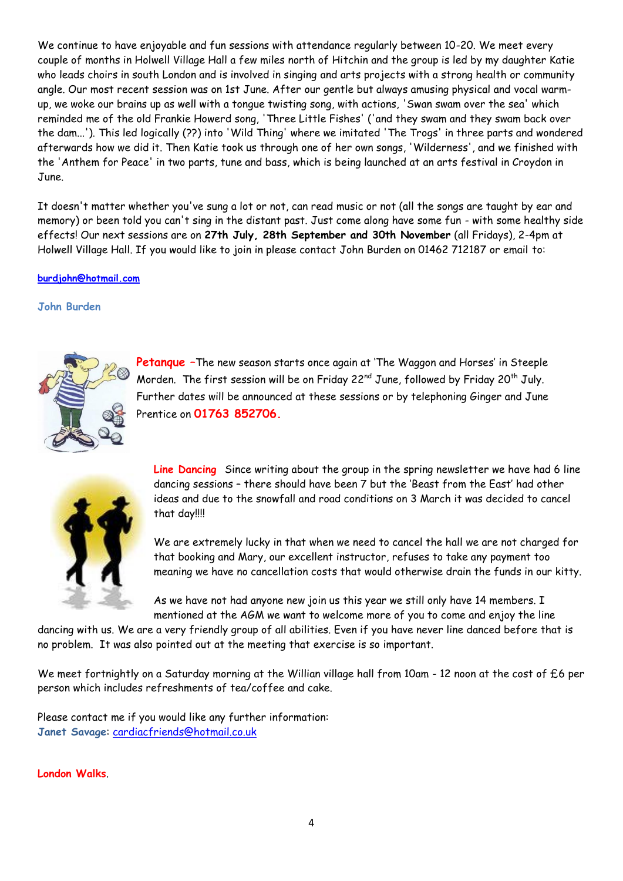We continue to have enjoyable and fun sessions with attendance regularly between 10-20. We meet every couple of months in Holwell Village Hall a few miles north of Hitchin and the group is led by my daughter Katie who leads choirs in south London and is involved in singing and arts projects with a strong health or community angle. Our most recent session was on 1st June. After our gentle but always amusing physical and vocal warmup, we woke our brains up as well with a tongue twisting song, with actions, 'Swan swam over the sea' which reminded me of the old Frankie Howerd song, 'Three Little Fishes' ('and they swam and they swam back over the dam...'). This led logically (??) into 'Wild Thing' where we imitated 'The Trogs' in three parts and wondered afterwards how we did it. Then Katie took us through one of her own songs, 'Wilderness', and we finished with the 'Anthem for Peace' in two parts, tune and bass, which is being launched at an arts festival in Croydon in June.

It doesn't matter whether you've sung a lot or not, can read music or not (all the songs are taught by ear and memory) or been told you can't sing in the distant past. Just come along have some fun - with some healthy side effects! Our next sessions are on **27th July, 28th September and 30th November** (all Fridays), 2-4pm at Holwell Village Hall. If you would like to join in please contact John Burden on 01462 712187 or email to:

# **[burdjohn@hotmail.com](mailto:burdjohn@hotmail.com)**

**John Burden**



**Petanque –**The new season starts once again at 'The Waggon and Horses' in Steeple Morden. The first session will be on Friday 22 $^{\sf{nd}}$  June, followed by Friday 20<sup>th</sup> July. Further dates will be announced at these sessions or by telephoning Ginger and June Prentice on **01763 852706.** 



**Line Dancing** Since writing about the group in the spring newsletter we have had 6 line dancing sessions – there should have been 7 but the 'Beast from the East' had other ideas and due to the snowfall and road conditions on 3 March it was decided to cancel that day!!!!

We are extremely lucky in that when we need to cancel the hall we are not charged for that booking and Mary, our excellent instructor, refuses to take any payment too meaning we have no cancellation costs that would otherwise drain the funds in our kitty.

As we have not had anyone new join us this year we still only have 14 members. I mentioned at the AGM we want to welcome more of you to come and enjoy the line

dancing with us. We are a very friendly group of all abilities. Even if you have never line danced before that is no problem. It was also pointed out at the meeting that exercise is so important.

We meet fortnightly on a Saturday morning at the Willian village hall from 10am - 12 noon at the cost of £6 per person which includes refreshments of tea/coffee and cake.

Please contact me if you would like any further information: **Janet Savage**: [cardiacfriends@hotmail.co.uk](mailto:cardiacfriends@hotmail.co.uk)

**London Walks**.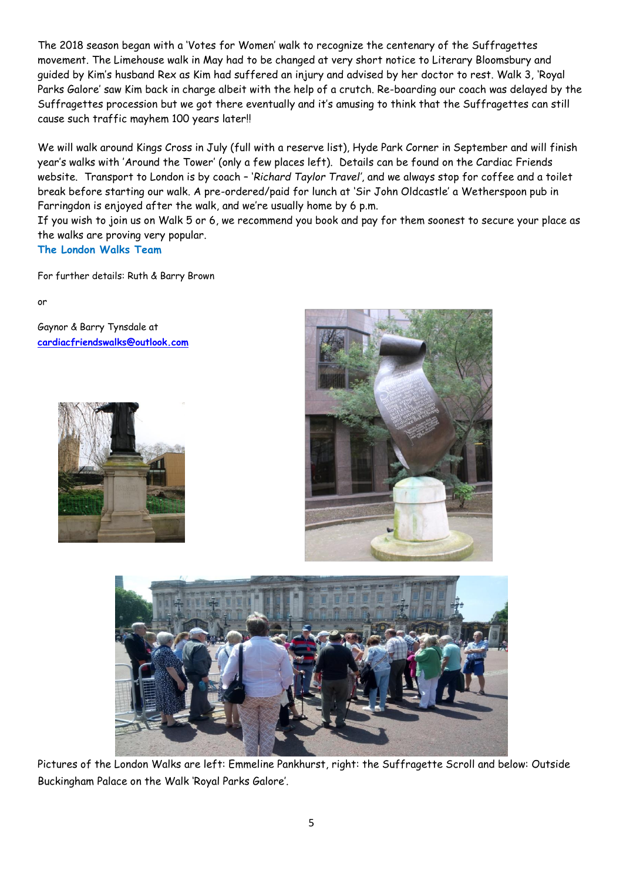The 2018 season began with a 'Votes for Women' walk to recognize the centenary of the Suffragettes movement. The Limehouse walk in May had to be changed at very short notice to Literary Bloomsbury and guided by Kim's husband Rex as Kim had suffered an injury and advised by her doctor to rest. Walk 3, 'Royal Parks Galore' saw Kim back in charge albeit with the help of a crutch. Re-boarding our coach was delayed by the Suffragettes procession but we got there eventually and it's amusing to think that the Suffragettes can still cause such traffic mayhem 100 years later!!

We will walk around Kings Cross in July (full with a reserve list), Hyde Park Corner in September and will finish year's walks with 'Around the Tower' (only a few places left). Details can be found on the Cardiac Friends website. Transport to London is by coach – '*Richard Taylor Travel'*, and we always stop for coffee and a toilet break before starting our walk. A pre-ordered/paid for lunch at 'Sir John Oldcastle' a Wetherspoon pub in Farringdon is enjoyed after the walk, and we're usually home by 6 p.m.

If you wish to join us on Walk 5 or 6, we recommend you book and pay for them soonest to secure your place as the walks are proving very popular.

**The London Walks Team**

For further details: Ruth & Barry Brown

or

Gaynor & Barry Tynsdale at **[cardiacfriendswalks@outlook.com](mailto:cardiacfriendswalks@outlook.com)**







Pictures of the London Walks are left: Emmeline Pankhurst, right: the Suffragette Scroll and below: Outside Buckingham Palace on the Walk 'Royal Parks Galore'.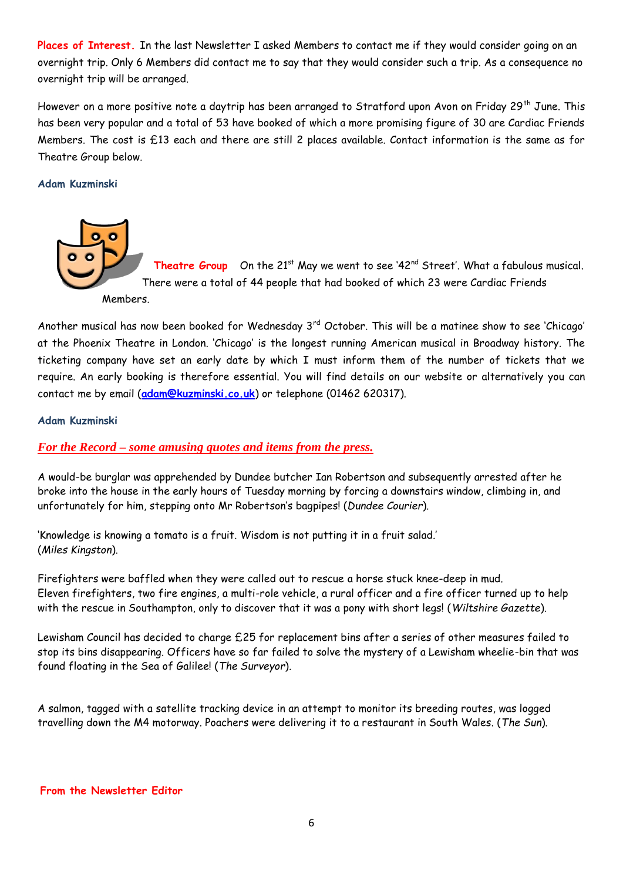**Places of Interest.** In the last Newsletter I asked Members to contact me if they would consider going on an overnight trip. Only 6 Members did contact me to say that they would consider such a trip. As a consequence no overnight trip will be arranged.

However on a more positive note a daytrip has been arranged to Stratford upon Avon on Friday 29<sup>th</sup> June. This has been very popular and a total of 53 have booked of which a more promising figure of 30 are Cardiac Friends Members. The cost is £13 each and there are still 2 places available. Contact information is the same as for Theatre Group below.

# **Adam Kuzminski**



Another musical has now been booked for Wednesday  $3^{rd}$  October. This will be a matinee show to see 'Chicago' at the Phoenix Theatre in London. 'Chicago' is the longest running American musical in Broadway history. The ticketing company have set an early date by which I must inform them of the number of tickets that we require. An early booking is therefore essential. You will find details on our website or alternatively you can contact me by email (**[adam@kuzminski.co.uk](mailto:adam@kuzminski.co.uk)**) or telephone (01462 620317).

# **Adam Kuzminski**

# *For the Record – some amusing quotes and items from the press.*

A would-be burglar was apprehended by Dundee butcher Ian Robertson and subsequently arrested after he broke into the house in the early hours of Tuesday morning by forcing a downstairs window, climbing in, and unfortunately for him, stepping onto Mr Robertson's bagpipes! (*Dundee Courier*).

'Knowledge is knowing a tomato is a fruit. Wisdom is not putting it in a fruit salad.' (*Miles Kingston*).

Firefighters were baffled when they were called out to rescue a horse stuck knee-deep in mud. Eleven firefighters, two fire engines, a multi-role vehicle, a rural officer and a fire officer turned up to help with the rescue in Southampton, only to discover that it was a pony with short legs! (*Wiltshire Gazette*).

Lewisham Council has decided to charge £25 for replacement bins after a series of other measures failed to stop its bins disappearing. Officers have so far failed to solve the mystery of a Lewisham wheelie-bin that was found floating in the Sea of Galilee! (*The Surveyor*).

A salmon, tagged with a satellite tracking device in an attempt to monitor its breeding routes, was logged travelling down the M4 motorway. Poachers were delivering it to a restaurant in South Wales. (*The Sun*).